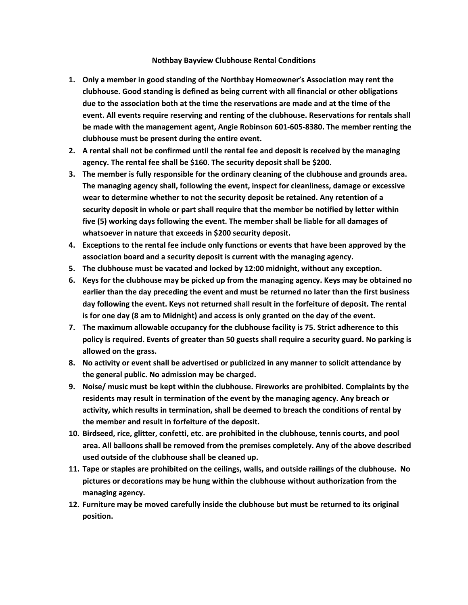## **Nothbay Bayview Clubhouse Rental Conditions**

- **1. Only a member in good standing of the Northbay Homeowner's Association may rent the clubhouse. Good standing is defined as being current with all financial or other obligations due to the association both at the time the reservations are made and at the time of the event. All events require reserving and renting of the clubhouse. Reservations for rentals shall be made with the management agent, Angie Robinson 601-605-8380. The member renting the clubhouse must be present during the entire event.**
- **2. A rental shall not be confirmed until the rental fee and deposit is received by the managing agency. The rental fee shall be \$160. The security deposit shall be \$200.**
- **3. The member is fully responsible for the ordinary cleaning of the clubhouse and grounds area. The managing agency shall, following the event, inspect for cleanliness, damage or excessive wear to determine whether to not the security deposit be retained. Any retention of a security deposit in whole or part shall require that the member be notified by letter within five (5) working days following the event. The member shall be liable for all damages of whatsoever in nature that exceeds in \$200 security deposit.**
- **4. Exceptions to the rental fee include only functions or events that have been approved by the association board and a security deposit is current with the managing agency.**
- **5. The clubhouse must be vacated and locked by 12:00 midnight, without any exception.**
- **6. Keys for the clubhouse may be picked up from the managing agency. Keys may be obtained no earlier than the day preceding the event and must be returned no later than the first business day following the event. Keys not returned shall result in the forfeiture of deposit. The rental is for one day (8 am to Midnight) and access is only granted on the day of the event.**
- **7. The maximum allowable occupancy for the clubhouse facility is 75. Strict adherence to this policy is required. Events of greater than 50 guests shall require a security guard. No parking is allowed on the grass.**
- **8. No activity or event shall be advertised or publicized in any manner to solicit attendance by the general public. No admission may be charged.**
- **9. Noise/ music must be kept within the clubhouse. Fireworks are prohibited. Complaints by the residents may result in termination of the event by the managing agency. Any breach or activity, which results in termination, shall be deemed to breach the conditions of rental by the member and result in forfeiture of the deposit.**
- **10. Birdseed, rice, glitter, confetti, etc. are prohibited in the clubhouse, tennis courts, and pool area. All balloons shall be removed from the premises completely. Any of the above described used outside of the clubhouse shall be cleaned up.**
- **11. Tape or staples are prohibited on the ceilings, walls, and outside railings of the clubhouse. No pictures or decorations may be hung within the clubhouse without authorization from the managing agency.**
- **12. Furniture may be moved carefully inside the clubhouse but must be returned to its original position.**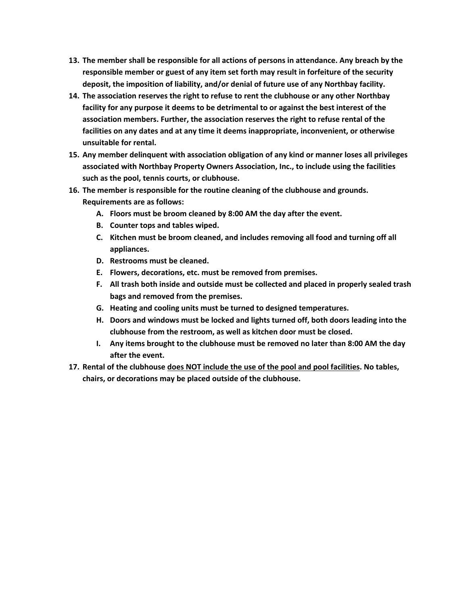- **13. The member shall be responsible for all actions of persons in attendance. Any breach by the responsible member or guest of any item set forth may result in forfeiture of the security deposit, the imposition of liability, and/or denial of future use of any Northbay facility.**
- **14. The association reserves the right to refuse to rent the clubhouse or any other Northbay facility for any purpose it deems to be detrimental to or against the best interest of the association members. Further, the association reserves the right to refuse rental of the facilities on any dates and at any time it deems inappropriate, inconvenient, or otherwise unsuitable for rental.**
- **15. Any member delinquent with association obligation of any kind or manner loses all privileges associated with Northbay Property Owners Association, Inc., to include using the facilities such as the pool, tennis courts, or clubhouse.**
- **16. The member is responsible for the routine cleaning of the clubhouse and grounds. Requirements are as follows:**
	- **A. Floors must be broom cleaned by 8:00 AM the day after the event.**
	- **B. Counter tops and tables wiped.**
	- **C. Kitchen must be broom cleaned, and includes removing all food and turning off all appliances.**
	- **D. Restrooms must be cleaned.**
	- **E. Flowers, decorations, etc. must be removed from premises.**
	- **F. All trash both inside and outside must be collected and placed in properly sealed trash bags and removed from the premises.**
	- **G. Heating and cooling units must be turned to designed temperatures.**
	- **H. Doors and windows must be locked and lights turned off, both doors leading into the clubhouse from the restroom, as well as kitchen door must be closed.**
	- **I. Any items brought to the clubhouse must be removed no later than 8:00 AM the day after the event.**
- **17. Rental of the clubhouse does NOT include the use of the pool and pool facilities. No tables, chairs, or decorations may be placed outside of the clubhouse.**